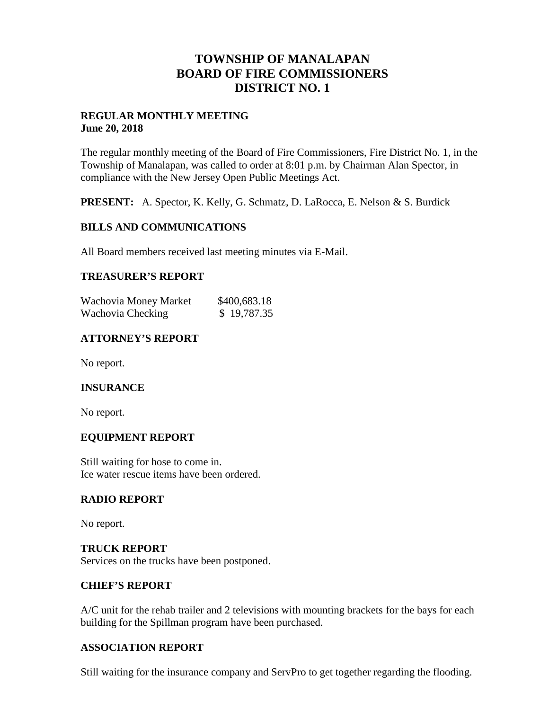## **TOWNSHIP OF MANALAPAN BOARD OF FIRE COMMISSIONERS DISTRICT NO. 1**

### **REGULAR MONTHLY MEETING June 20, 2018**

The regular monthly meeting of the Board of Fire Commissioners, Fire District No. 1, in the Township of Manalapan, was called to order at 8:01 p.m. by Chairman Alan Spector, in compliance with the New Jersey Open Public Meetings Act.

**PRESENT:** A. Spector, K. Kelly, G. Schmatz, D. LaRocca, E. Nelson & S. Burdick

## **BILLS AND COMMUNICATIONS**

All Board members received last meeting minutes via E-Mail.

## **TREASURER'S REPORT**

| Wachovia Money Market | \$400,683.18 |
|-----------------------|--------------|
| Wachovia Checking     | \$19,787.35  |

## **ATTORNEY'S REPORT**

No report.

### **INSURANCE**

No report.

### **EQUIPMENT REPORT**

Still waiting for hose to come in. Ice water rescue items have been ordered.

### **RADIO REPORT**

No report.

## **TRUCK REPORT** Services on the trucks have been postponed.

### **CHIEF'S REPORT**

A/C unit for the rehab trailer and 2 televisions with mounting brackets for the bays for each building for the Spillman program have been purchased.

### **ASSOCIATION REPORT**

Still waiting for the insurance company and ServPro to get together regarding the flooding.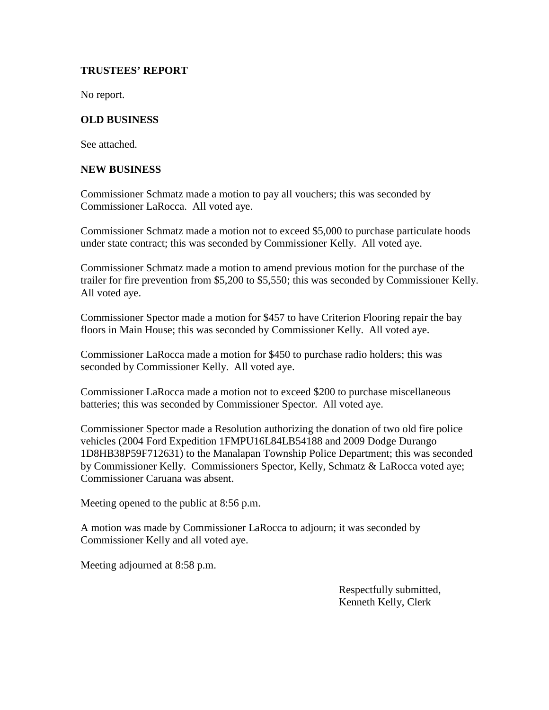## **TRUSTEES' REPORT**

No report.

## **OLD BUSINESS**

See attached.

#### **NEW BUSINESS**

Commissioner Schmatz made a motion to pay all vouchers; this was seconded by Commissioner LaRocca. All voted aye.

Commissioner Schmatz made a motion not to exceed \$5,000 to purchase particulate hoods under state contract; this was seconded by Commissioner Kelly. All voted aye.

Commissioner Schmatz made a motion to amend previous motion for the purchase of the trailer for fire prevention from \$5,200 to \$5,550; this was seconded by Commissioner Kelly. All voted aye.

Commissioner Spector made a motion for \$457 to have Criterion Flooring repair the bay floors in Main House; this was seconded by Commissioner Kelly. All voted aye.

Commissioner LaRocca made a motion for \$450 to purchase radio holders; this was seconded by Commissioner Kelly. All voted aye.

Commissioner LaRocca made a motion not to exceed \$200 to purchase miscellaneous batteries; this was seconded by Commissioner Spector. All voted aye.

Commissioner Spector made a Resolution authorizing the donation of two old fire police vehicles (2004 Ford Expedition 1FMPU16L84LB54188 and 2009 Dodge Durango 1D8HB38P59F712631) to the Manalapan Township Police Department; this was seconded by Commissioner Kelly. Commissioners Spector, Kelly, Schmatz & LaRocca voted aye; Commissioner Caruana was absent.

Meeting opened to the public at 8:56 p.m.

A motion was made by Commissioner LaRocca to adjourn; it was seconded by Commissioner Kelly and all voted aye.

Meeting adjourned at 8:58 p.m.

Respectfully submitted, Kenneth Kelly, Clerk